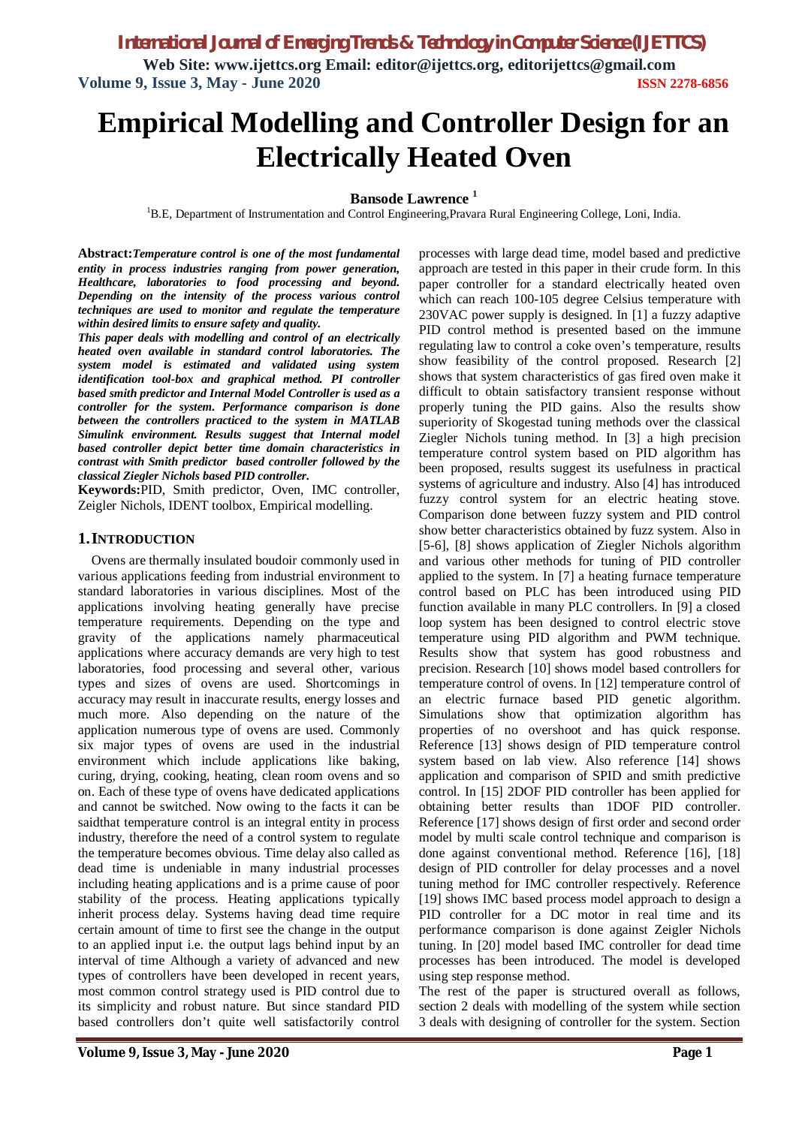*International Journal of Emerging Trends & Technology in Computer Science (IJETTCS)*

**Web Site: www.ijettcs.org Email: editor@ijettcs.org, [editorijettcs@gmail.com](mailto:editorijettcs@gmail.com)  Volume 9, Issue 3, May - June 2020 ISSN 2278-6856**

# **Empirical Modelling and Controller Design for an Electrically Heated Oven**

**Bansode Lawrence <sup>1</sup>**

<sup>1</sup>B.E, Department of Instrumentation and Control Engineering, Pravara Rural Engineering College, Loni, India.

**Abstract:***Temperature control is one of the most fundamental entity in process industries ranging from power generation, Healthcare, laboratories to food processing and beyond. Depending on the intensity of the process various control techniques are used to monitor and regulate the temperature within desired limits to ensure safety and quality.* 

*This paper deals with modelling and control of an electrically heated oven available in standard control laboratories. The system model is estimated and validated using system identification tool-box and graphical method. PI controller based smith predictor and Internal Model Controller is used as a controller for the system. Performance comparison is done between the controllers practiced to the system in MATLAB Simulink environment. Results suggest that Internal model based controller depict better time domain characteristics in contrast with Smith predictor based controller followed by the classical Ziegler Nichols based PID controller.*

**Keywords:**PID, Smith predictor, Oven, IMC controller, Zeigler Nichols, IDENT toolbox, Empirical modelling.

#### **1.INTRODUCTION**

Ovens are thermally insulated boudoir commonly used in various applications feeding from industrial environment to standard laboratories in various disciplines. Most of the applications involving heating generally have precise temperature requirements. Depending on the type and gravity of the applications namely pharmaceutical applications where accuracy demands are very high to test laboratories, food processing and several other, various types and sizes of ovens are used. Shortcomings in accuracy may result in inaccurate results, energy losses and much more. Also depending on the nature of the application numerous type of ovens are used. Commonly six major types of ovens are used in the industrial environment which include applications like baking, curing, drying, cooking, heating, clean room ovens and so on. Each of these type of ovens have dedicated applications and cannot be switched. Now owing to the facts it can be saidthat temperature control is an integral entity in process industry, therefore the need of a control system to regulate the temperature becomes obvious. Time delay also called as dead time is undeniable in many industrial processes including heating applications and is a prime cause of poor stability of the process. Heating applications typically inherit process delay. Systems having dead time require certain amount of time to first see the change in the output to an applied input i.e. the output lags behind input by an interval of time Although a variety of advanced and new types of controllers have been developed in recent years, most common control strategy used is PID control due to its simplicity and robust nature. But since standard PID based controllers don't quite well satisfactorily control

which can reach 100-105 degree Celsius temperature with 230VAC power supply is designed. In [1] a fuzzy adaptive PID control method is presented based on the immune regulating law to control a coke oven's temperature, results show feasibility of the control proposed. Research [2] shows that system characteristics of gas fired oven make it difficult to obtain satisfactory transient response without properly tuning the PID gains. Also the results show superiority of Skogestad tuning methods over the classical Ziegler Nichols tuning method. In [3] a high precision temperature control system based on PID algorithm has been proposed, results suggest its usefulness in practical systems of agriculture and industry. Also [4] has introduced fuzzy control system for an electric heating stove. Comparison done between fuzzy system and PID control show better characteristics obtained by fuzz system. Also in [5-6], [8] shows application of Ziegler Nichols algorithm and various other methods for tuning of PID controller applied to the system. In [7] a heating furnace temperature control based on PLC has been introduced using PID function available in many PLC controllers. In [9] a closed loop system has been designed to control electric stove temperature using PID algorithm and PWM technique. Results show that system has good robustness and precision. Research [10] shows model based controllers for temperature control of ovens. In [12] temperature control of an electric furnace based PID genetic algorithm. Simulations show that optimization algorithm has properties of no overshoot and has quick response. Reference [13] shows design of PID temperature control system based on lab view. Also reference [14] shows application and comparison of SPID and smith predictive control. In [15] 2DOF PID controller has been applied for obtaining better results than 1DOF PID controller. Reference [17] shows design of first order and second order model by multi scale control technique and comparison is done against conventional method. Reference [16], [18] design of PID controller for delay processes and a novel tuning method for IMC controller respectively. Reference [19] shows IMC based process model approach to design a PID controller for a DC motor in real time and its performance comparison is done against Zeigler Nichols tuning. In [20] model based IMC controller for dead time processes has been introduced. The model is developed using step response method.

processes with large dead time, model based and predictive approach are tested in this paper in their crude form. In this paper controller for a standard electrically heated oven

The rest of the paper is structured overall as follows, section 2 deals with modelling of the system while section 3 deals with designing of controller for the system. Section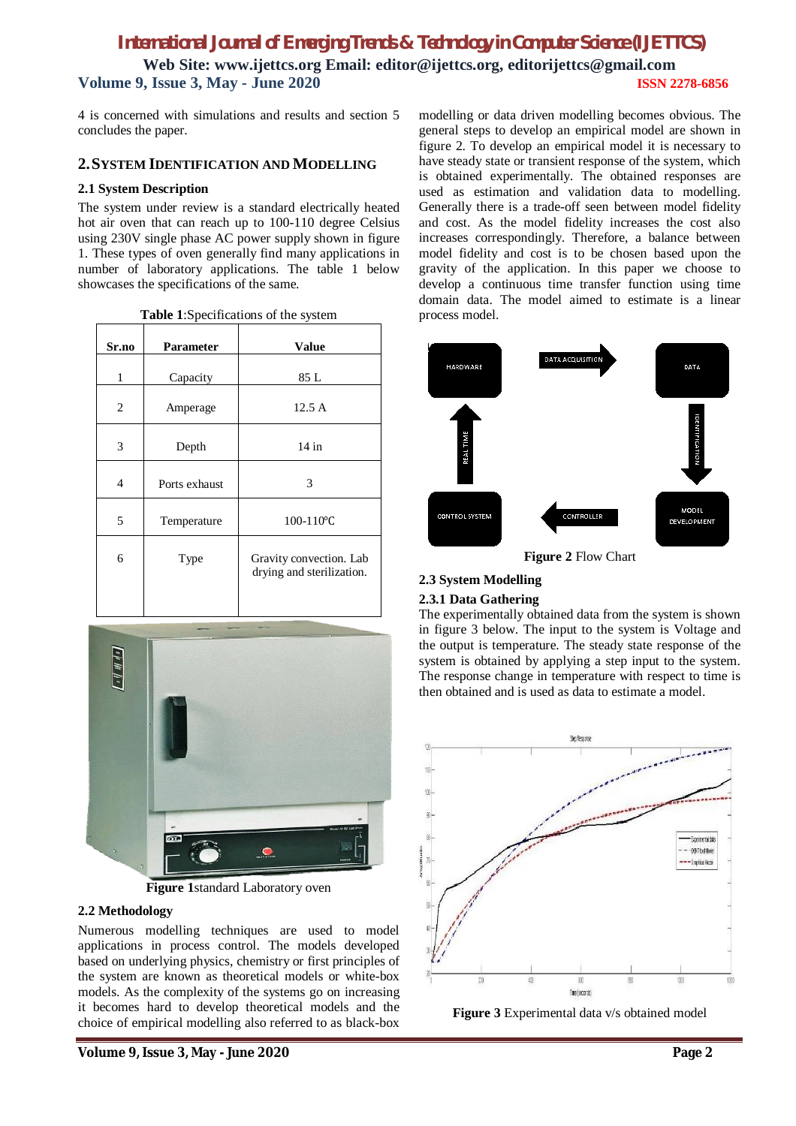4 is concerned with simulations and results and section 5 concludes the paper.

## **2.SYSTEM IDENTIFICATION AND MODELLING**

### **2.1 System Description**

The system under review is a standard electrically heated hot air oven that can reach up to 100-110 degree Celsius using 230V single phase AC power supply shown in figure 1. These types of oven generally find many applications in number of laboratory applications. The table 1 below showcases the specifications of the same.

| <b>rable 1.</b> Specifications of the system |               |                                                      |  |  |
|----------------------------------------------|---------------|------------------------------------------------------|--|--|
| Sr.no                                        | Parameter     | <b>Value</b>                                         |  |  |
| 1                                            | Capacity      | 85 L                                                 |  |  |
| 2                                            | Amperage      | 12.5A                                                |  |  |
| 3                                            | Depth         | $14$ in                                              |  |  |
| 4                                            | Ports exhaust | 3                                                    |  |  |
| 5                                            | Temperature   | $100 - 110$ °C                                       |  |  |
| 6                                            | Type          | Gravity convection. Lab<br>drying and sterilization. |  |  |





**Figure 1**standard Laboratory oven

## **2.2 Methodology**

Numerous modelling techniques are used to model applications in process control. The models developed based on underlying physics, chemistry or first principles of the system are known as theoretical models or white-box models. As the complexity of the systems go on increasing it becomes hard to develop theoretical models and the choice of empirical modelling also referred to as black-box

**Volume 9, Issue 3, May - June 2020 Page 2**

modelling or data driven modelling becomes obvious. The general steps to develop an empirical model are shown in figure 2. To develop an empirical model it is necessary to have steady state or transient response of the system, which is obtained experimentally. The obtained responses are used as estimation and validation data to modelling. Generally there is a trade-off seen between model fidelity and cost. As the model fidelity increases the cost also increases correspondingly. Therefore, a balance between model fidelity and cost is to be chosen based upon the gravity of the application. In this paper we choose to develop a continuous time transfer function using time domain data. The model aimed to estimate is a linear process model.



**Figure 2** Flow Chart

## **2.3 System Modelling**

### **2.3.1 Data Gathering**

The experimentally obtained data from the system is shown in figure 3 below. The input to the system is Voltage and the output is temperature. The steady state response of the system is obtained by applying a step input to the system. The response change in temperature with respect to time is then obtained and is used as data to estimate a model.



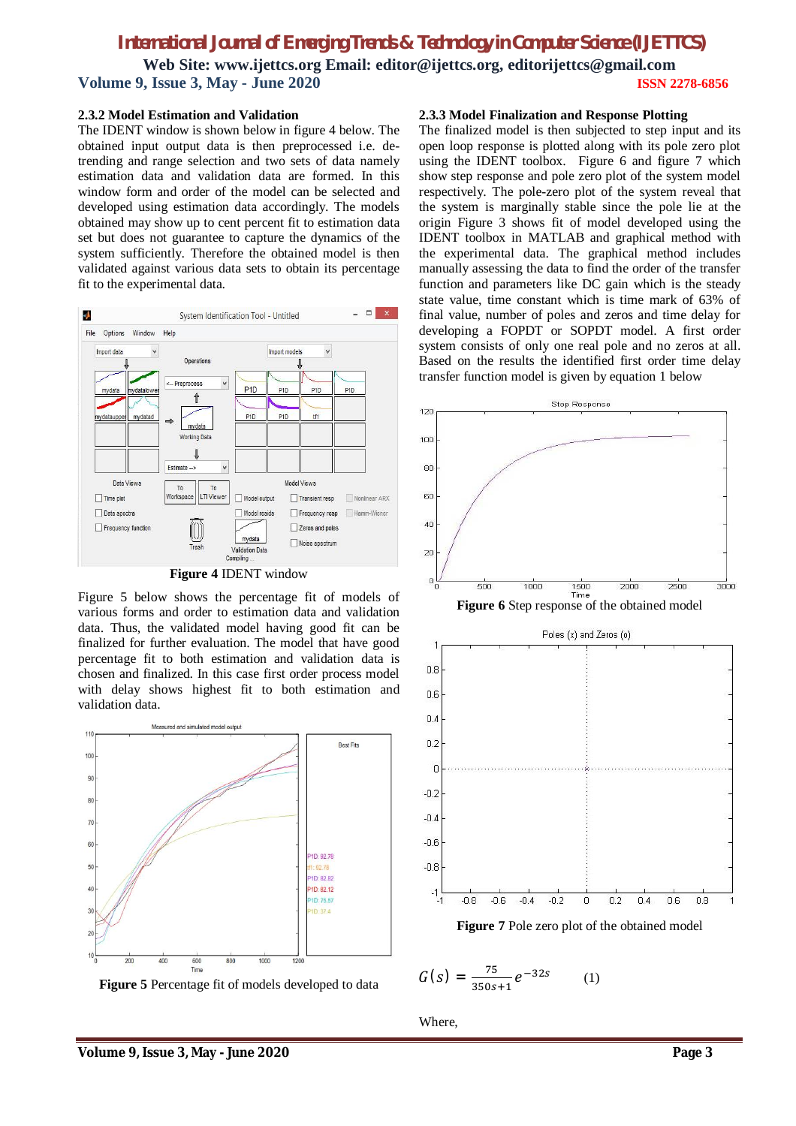#### **2.3.2 Model Estimation and Validation**

The IDENT window is shown below in figure 4 below. The obtained input output data is then preprocessed i.e. detrending and range selection and two sets of data namely estimation data and validation data are formed. In this window form and order of the model can be selected and developed using estimation data accordingly. The models obtained may show up to cent percent fit to estimation data set but does not guarantee to capture the dynamics of the system sufficiently. Therefore the obtained model is then validated against various data sets to obtain its percentage fit to the experimental data.



**Figure 4** IDENT window

Figure 5 below shows the percentage fit of models of various forms and order to estimation data and validation data. Thus, the validated model having good fit can be finalized for further evaluation. The model that have good percentage fit to both estimation and validation data is chosen and finalized. In this case first order process model with delay shows highest fit to both estimation and validation data.



**Figure 5** Percentage fit of models developed to data

#### **2.3.3 Model Finalization and Response Plotting**

The finalized model is then subjected to step input and its open loop response is plotted along with its pole zero plot using the IDENT toolbox. Figure 6 and figure 7 which show step response and pole zero plot of the system model respectively. The pole-zero plot of the system reveal that the system is marginally stable since the pole lie at the origin Figure 3 shows fit of model developed using the IDENT toolbox in MATLAB and graphical method with the experimental data. The graphical method includes manually assessing the data to find the order of the transfer function and parameters like DC gain which is the steady state value, time constant which is time mark of 63% of final value, number of poles and zeros and time delay for developing a FOPDT or SOPDT model. A first order system consists of only one real pole and no zeros at all. Based on the results the identified first order time delay transfer function model is given by equation 1 below



**Figure 7** Pole zero plot of the obtained model

$$
G(s) = \frac{75}{350s+1}e^{-32s} \qquad (1)
$$

Where,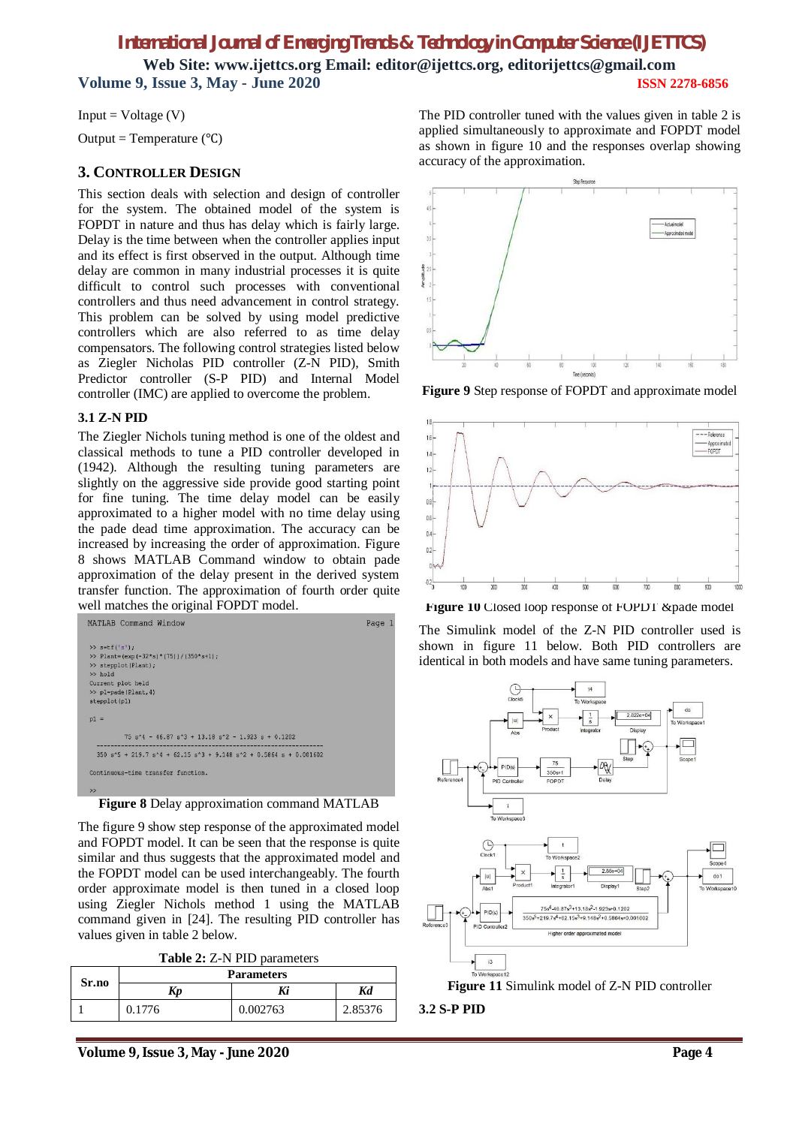$Input = Voltage (V)$ 

Output = Temperature  $(^{\circ}C)$ 

## **3. CONTROLLER DESIGN**

This section deals with selection and design of controller for the system. The obtained model of the system is FOPDT in nature and thus has delay which is fairly large. Delay is the time between when the controller applies input and its effect is first observed in the output. Although time delay are common in many industrial processes it is quite difficult to control such processes with conventional controllers and thus need advancement in control strategy. This problem can be solved by using model predictive controllers which are also referred to as time delay compensators. The following control strategies listed below as Ziegler Nicholas PID controller (Z-N PID), Smith Predictor controller (S-P PID) and Internal Model controller (IMC) are applied to overcome the problem.

## **3.1 Z-N PID**

The Ziegler Nichols tuning method is one of the oldest and classical methods to tune a PID controller developed in (1942). Although the resulting tuning parameters are slightly on the aggressive side provide good starting point for fine tuning. The time delay model can be easily approximated to a higher model with no time delay using the pade dead time approximation. The accuracy can be increased by increasing the order of approximation. Figure 8 shows MATLAB Command window to obtain pade approximation of the delay present in the derived system transfer function. The approximation of fourth order quite well matches the original FOPDT model.



**Figure 8** Delay approximation command MATLAB

The figure 9 show step response of the approximated model and FOPDT model. It can be seen that the response is quite similar and thus suggests that the approximated model and the FOPDT model can be used interchangeably. The fourth order approximate model is then tuned in a closed loop using Ziegler Nichols method 1 using the MATLAB command given in [24]. The resulting PID controller has values given in table 2 below.

**Table 2:** Z-N PID parameters

| Sr.no | <b>Parameters</b> |          |         |
|-------|-------------------|----------|---------|
|       | Kv                | Ki       | Kd      |
|       | 0.1776            | 0.002763 | 2.85376 |

The PID controller tuned with the values given in table 2 is applied simultaneously to approximate and FOPDT model as shown in figure 10 and the responses overlap showing accuracy of the approximation.



**Figure 9** Step response of FOPDT and approximate model



**Figure 10** Closed loop response of FOPDT &pade model

The Simulink model of the Z-N PID controller used is shown in figure 11 below. Both PID controllers are identical in both models and have same tuning parameters.



**3.2 S-P PID**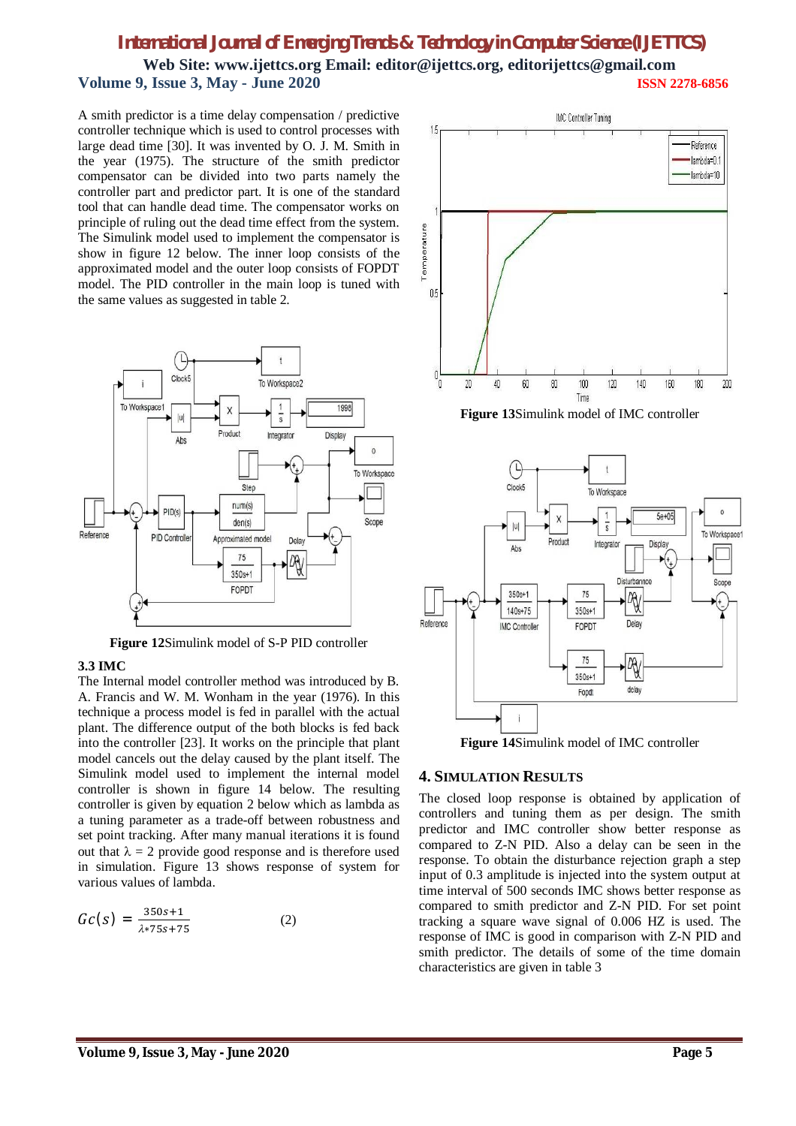## *International Journal of Emerging Trends & Technology in Computer Science (IJETTCS)*

**Web Site: www.ijettcs.org Email: editor@ijettcs.org, [editorijettcs@gmail.com](mailto:editorijettcs@gmail.com)  Volume 9, Issue 3, May - June 2020 ISSN 2278-6856**

A smith predictor is a time delay compensation / predictive controller technique which is used to control processes with large dead time [30]. It was invented by O. J. M. Smith in the year (1975). The structure of the smith predictor compensator can be divided into two parts namely the controller part and predictor part. It is one of the standard tool that can handle dead time. The compensator works on principle of ruling out the dead time effect from the system. The Simulink model used to implement the compensator is show in figure 12 below. The inner loop consists of the approximated model and the outer loop consists of FOPDT model. The PID controller in the main loop is tuned with the same values as suggested in table 2.



**Figure 12**Simulink model of S-P PID controller

#### **3.3 IMC**

The Internal model controller method was introduced by B. A. Francis and W. M. Wonham in the year (1976). In this technique a process model is fed in parallel with the actual plant. The difference output of the both blocks is fed back into the controller [23]. It works on the principle that plant model cancels out the delay caused by the plant itself. The Simulink model used to implement the internal model controller is shown in figure 14 below. The resulting controller is given by equation 2 below which as lambda as a tuning parameter as a trade-off between robustness and set point tracking. After many manual iterations it is found out that  $\lambda = 2$  provide good response and is therefore used in simulation. Figure 13 shows response of system for various values of lambda.

$$
Gc(s) = \frac{350s + 1}{\lambda * 75s + 75}
$$
 (2)



**Figure 13**Simulink model of IMC controller



**Figure 14**Simulink model of IMC controller

#### **4. SIMULATION RESULTS**

The closed loop response is obtained by application of controllers and tuning them as per design. The smith predictor and IMC controller show better response as compared to Z-N PID. Also a delay can be seen in the response. To obtain the disturbance rejection graph a step input of 0.3 amplitude is injected into the system output at time interval of 500 seconds IMC shows better response as compared to smith predictor and Z-N PID. For set point tracking a square wave signal of 0.006 HZ is used. The response of IMC is good in comparison with Z-N PID and smith predictor. The details of some of the time domain characteristics are given in table 3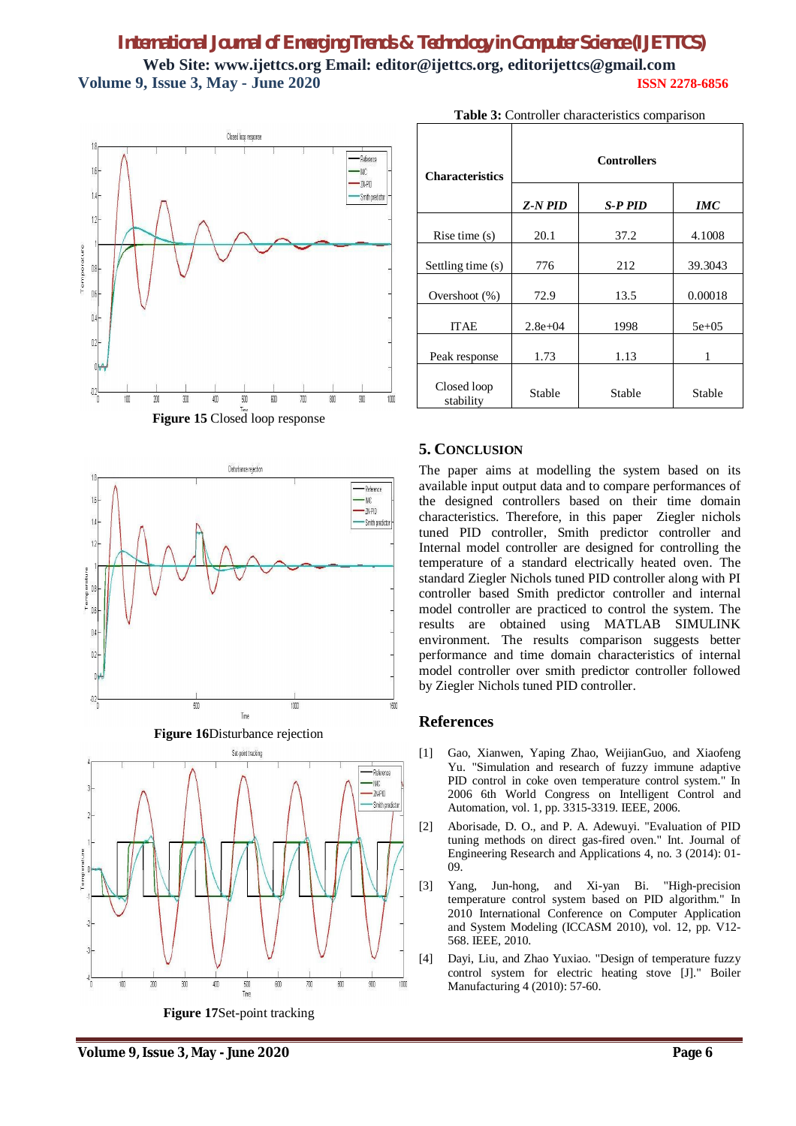







|  | Figure 17Set-point tracking |  |
|--|-----------------------------|--|
|  |                             |  |

| <b>Characteristics</b>   | <b>Controllers</b> |                |            |  |
|--------------------------|--------------------|----------------|------------|--|
|                          | $Z-N$ $PID$        | <b>S-P PID</b> | <b>IMC</b> |  |
| Rise time $(s)$          | 20.1               | 37.2           | 4.1008     |  |
| Settling time (s)        | 776                | 212            | 39.3043    |  |
| Overshoot $(\%)$         | 72.9               | 13.5           | 0.00018    |  |
| <b>ITAE</b>              | $2.8e + 04$        | 1998           | $5e+05$    |  |
| Peak response            | 1.73               | 1.13           | 1          |  |
| Closed loop<br>stability | Stable             | Stable         | Stable     |  |

### **Table 3:** Controller characteristics comparison

## **5. CONCLUSION**

The paper aims at modelling the system based on its available input output data and to compare performances of the designed controllers based on their time domain characteristics. Therefore, in this paper Ziegler nichols tuned PID controller, Smith predictor controller and Internal model controller are designed for controlling the temperature of a standard electrically heated oven. The standard Ziegler Nichols tuned PID controller along with PI controller based Smith predictor controller and internal model controller are practiced to control the system. The results are obtained using MATLAB SIMULINK environment. The results comparison suggests better performance and time domain characteristics of internal model controller over smith predictor controller followed by Ziegler Nichols tuned PID controller.

## **References**

- [1] Gao, Xianwen, Yaping Zhao, WeijianGuo, and Xiaofeng Yu. "Simulation and research of fuzzy immune adaptive PID control in coke oven temperature control system." In 2006 6th World Congress on Intelligent Control and Automation, vol. 1, pp. 3315-3319. IEEE, 2006.
- [2] Aborisade, D. O., and P. A. Adewuyi. "Evaluation of PID tuning methods on direct gas-fired oven." Int. Journal of Engineering Research and Applications 4, no. 3 (2014): 01- 09.
- [3] Yang, Jun-hong, and Xi-yan Bi. "High-precision temperature control system based on PID algorithm." In 2010 International Conference on Computer Application and System Modeling (ICCASM 2010), vol. 12, pp. V12- 568. IEEE, 2010.
- [4] Dayi, Liu, and Zhao Yuxiao. "Design of temperature fuzzy control system for electric heating stove [J]." Boiler Manufacturing 4 (2010): 57-60.

**Volume 9, Issue 3, May - June 2020 Page 6**